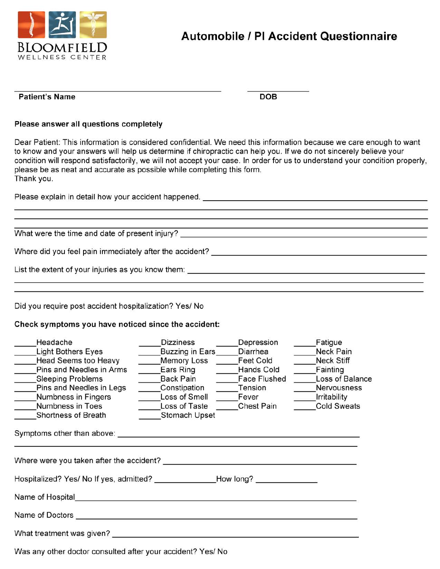

## **Automobile / PI Accident Questionnaire**

## Patient's Name

**DOB** 

## Please answer all questions completely

Dear Patient: This information is considered confidential. We need this information because we care enough to want to know and your answers will help us determine if chiropractic can help you. If we do not sincerely believe your condition will respond satisfactorily, we will not accept your case. In order for us to understand your condition properly, please be as neat and accurate as possible while completing this form. Thank you.

Please explain in detail how your accident happened. \_\_\_\_\_\_\_\_\_\_\_\_\_\_\_\_\_\_\_\_\_\_\_\_\_\_\_\_

What were the time and date of present injury?

Did you require post accident hospitalization? Yes/ No

## Check symptoms you have noticed since the accident:

| Headache                                                                                                                                                                                                                       | <b>Dizziness</b>                       | Depression        | Fatigue            |
|--------------------------------------------------------------------------------------------------------------------------------------------------------------------------------------------------------------------------------|----------------------------------------|-------------------|--------------------|
| <b>Light Bothers Eyes</b>                                                                                                                                                                                                      | Buzzing in Ears                        | Diarrhea          | Neck Pain          |
| Head Seems too Heavy                                                                                                                                                                                                           | Memory Loss Feet Cold<br>$\mathcal{N}$ |                   | <b>Neck Stiff</b>  |
| Pins and Needles in Arms                                                                                                                                                                                                       | Ears Ring                              | <b>Hands Cold</b> | Fainting           |
| Sleeping Problems                                                                                                                                                                                                              | Back Pain                              | Face Flushed      | Loss of Balance    |
| Pins and Needles in Legs                                                                                                                                                                                                       | Constipation                           | Tension           | Nervousness        |
| Numbness in Fingers                                                                                                                                                                                                            | Loss of Smell                          | Fever             | Irritability       |
| <b>Numbness in Toes</b>                                                                                                                                                                                                        | Loss of Taste                          | Chest Pain        | <b>Cold Sweats</b> |
| Shortness of Breath                                                                                                                                                                                                            | Stomach Upset                          |                   |                    |
| Symptoms other than above: example and all the symptoms of the symptoms of the symptoms of the symptoms of the symptoms of the symptoms of the symptoms of the symptoms of the symptoms of the symptoms of the symptoms of the |                                        |                   |                    |
| Hospitalized? Yes/ No If yes, admitted? How long?                                                                                                                                                                              |                                        |                   |                    |
| Name of Hospital <b>Name of Hospital</b>                                                                                                                                                                                       |                                        |                   |                    |
| Name of Doctors <b>Name of Doctors</b>                                                                                                                                                                                         |                                        |                   |                    |
| What treatment was given? _______                                                                                                                                                                                              |                                        |                   |                    |
|                                                                                                                                                                                                                                |                                        |                   |                    |

Was any other doctor consulted after your accident? Yes/ No